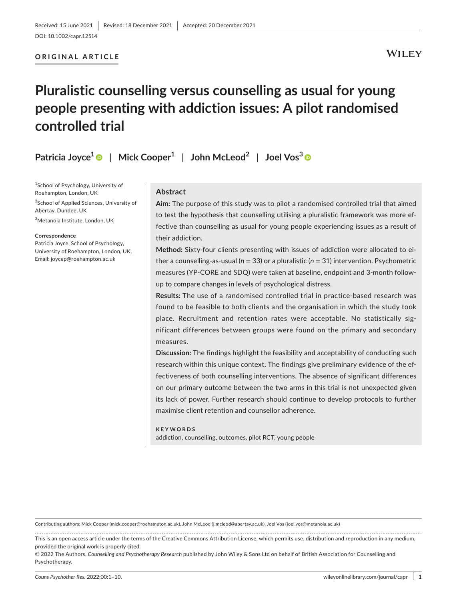#### **ORIGINAL ARTICLE**

**WILEY** 

## **Pluralistic counselling versus counselling as usual for young people presenting with addiction issues: A pilot randomised controlled trial**

**Patricia Joyce1** | **Mick Cooper1** | **John McLeod2** | **Joel Vos<sup>3</sup>**

1 School of Psychology, University of Roehampton, London, UK

<sup>2</sup>School of Applied Sciences, University of Abertay, Dundee, UK

3 Metanoia Institute, London, UK

#### **Correspondence**

Patricia Joyce, School of Psychology, University of Roehampton, London, UK. Email: [joycep@roehampton.ac.uk](mailto:joycep@roehampton.ac.uk)

#### **Abstract**

**Aim:** The purpose of this study was to pilot a randomised controlled trial that aimed to test the hypothesis that counselling utilising a pluralistic framework was more effective than counselling as usual for young people experiencing issues as a result of their addiction.

**Method:** Sixty-four clients presenting with issues of addiction were allocated to either a counselling-as-usual (*n* = 33) or a pluralistic (*n* = 31) intervention. Psychometric measures (YP-CORE and SDQ) were taken at baseline, endpoint and 3-month followup to compare changes in levels of psychological distress.

**Results:** The use of a randomised controlled trial in practice-based research was found to be feasible to both clients and the organisation in which the study took place. Recruitment and retention rates were acceptable. No statistically significant differences between groups were found on the primary and secondary measures.

**Discussion:** The findings highlight the feasibility and acceptability of conducting such research within this unique context. The findings give preliminary evidence of the effectiveness of both counselling interventions. The absence of significant differences on our primary outcome between the two arms in this trial is not unexpected given its lack of power. Further research should continue to develop protocols to further maximise client retention and counsellor adherence.

#### **KEYWORDS**

addiction, counselling, outcomes, pilot RCT, young people

Contributing authors: Mick Cooper [\(mick.cooper@roehampton.ac.uk](mailto:mick.cooper@roehampton.ac.uk)), John McLeod ([j.mcleod@abertay.ac.uk](mailto:j.mcleod@abertay.ac.uk)), Joel Vos ([joel.vos@metanoia.ac.uk\)](mailto:joel.vos@metanoia.ac.uk)

This is an open access article under the terms of the [Creative Commons Attribution](http://creativecommons.org/licenses/by/4.0/) License, which permits use, distribution and reproduction in any medium, provided the original work is properly cited.

<sup>© 2022</sup> The Authors. *Counselling and Psychotherapy Research* published by John Wiley & Sons Ltd on behalf of British Association for Counselling and Psychotherapy.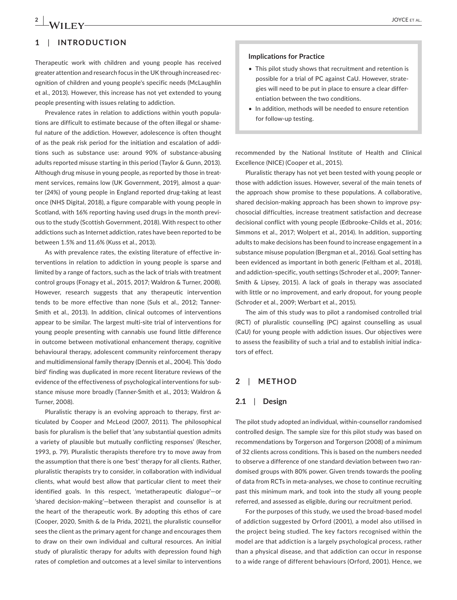## **1**  | **INTRODUCTION**

Therapeutic work with children and young people has received greater attention and research focus in the UK through increased recognition of children and young people's specific needs (McLaughlin et al., 2013). However, this increase has not yet extended to young people presenting with issues relating to addiction.

Prevalence rates in relation to addictions within youth populations are difficult to estimate because of the often illegal or shameful nature of the addiction. However, adolescence is often thought of as the peak risk period for the initiation and escalation of additions such as substance use: around 90% of substance-abusing adults reported misuse starting in this period (Taylor & Gunn, 2013). Although drug misuse in young people, as reported by those in treatment services, remains low (UK Government, 2019), almost a quarter (24%) of young people in England reported drug-taking at least once (NHS Digital, 2018), a figure comparable with young people in Scotland, with 16% reporting having used drugs in the month previous to the study (Scottish Government, 2018). With respect to other addictions such as Internet addiction, rates have been reported to be between 1.5% and 11.6% (Kuss et al., 2013).

As with prevalence rates, the existing literature of effective interventions in relation to addiction in young people is sparse and limited by a range of factors, such as the lack of trials with treatment control groups (Fonagy et al., 2015, 2017; Waldron & Turner, 2008). However, research suggests that any therapeutic intervention tends to be more effective than none (Suls et al., 2012; Tanner-Smith et al., 2013). In addition, clinical outcomes of interventions appear to be similar. The largest multi-site trial of interventions for young people presenting with cannabis use found little difference in outcome between motivational enhancement therapy, cognitive behavioural therapy, adolescent community reinforcement therapy and multidimensional family therapy (Dennis et al., 2004). This 'dodo bird' finding was duplicated in more recent literature reviews of the evidence of the effectiveness of psychological interventions for substance misuse more broadly (Tanner-Smith et al., 2013; Waldron & Turner, 2008).

Pluralistic therapy is an evolving approach to therapy, first articulated by Cooper and McLeod (2007, 2011). The philosophical basis for pluralism is the belief that 'any substantial question admits a variety of plausible but mutually conflicting responses' (Rescher, 1993, p. 79). Pluralistic therapists therefore try to move away from the assumption that there is one 'best' therapy for all clients. Rather, pluralistic therapists try to consider, in collaboration with individual clients, what would best allow that particular client to meet their identified goals. In this respect, 'metatherapeutic dialogue'—or 'shared decision-making'—between therapist and counsellor is at the heart of the therapeutic work. By adopting this ethos of care (Cooper, 2020, Smith & de la Prida, 2021), the pluralistic counsellor sees the client as the primary agent for change and encourages them to draw on their own individual and cultural resources. An initial study of pluralistic therapy for adults with depression found high rates of completion and outcomes at a level similar to interventions

#### **Implications for Practice**

- This pilot study shows that recruitment and retention is possible for a trial of PC against CaU. However, strategies will need to be put in place to ensure a clear differentiation between the two conditions.
- In addition, methods will be needed to ensure retention for follow-up testing.

recommended by the National Institute of Health and Clinical Excellence (NICE) (Cooper et al., 2015).

Pluralistic therapy has not yet been tested with young people or those with addiction issues. However, several of the main tenets of the approach show promise to these populations. A collaborative, shared decision-making approach has been shown to improve psychosocial difficulties, increase treatment satisfaction and decrease decisional conflict with young people (Edbrooke-Childs et al., 2016; Simmons et al., 2017; Wolpert et al., 2014). In addition, supporting adults to make decisions has been found to increase engagement in a substance misuse population (Bergman et al., 2016). Goal setting has been evidenced as important in both generic (Feltham et al., 2018), and addiction-specific, youth settings (Schroder et al., 2009; Tanner-Smith & Lipsey, 2015). A lack of goals in therapy was associated with little or no improvement, and early dropout, for young people (Schroder et al., 2009; Werbart et al., 2015).

The aim of this study was to pilot a randomised controlled trial (RCT) of pluralistic counselling (PC) against counselling as usual (CaU) for young people with addiction issues. Our objectives were to assess the feasibility of such a trial and to establish initial indicators of effect.

#### **2**  | **METHOD**

#### **2.1**  | **Design**

The pilot study adopted an individual, within-counsellor randomised controlled design. The sample size for this pilot study was based on recommendations by Torgerson and Torgerson (2008) of a minimum of 32 clients across conditions. This is based on the numbers needed to observe a difference of one standard deviation between two randomised groups with 80% power. Given trends towards the pooling of data from RCTs in meta-analyses, we chose to continue recruiting past this minimum mark, and took into the study all young people referred, and assessed as eligible, during our recruitment period.

For the purposes of this study, we used the broad-based model of addiction suggested by Orford (2001), a model also utilised in the project being studied. The key factors recognised within the model are that addiction is a largely psychological process, rather than a physical disease, and that addiction can occur in response to a wide range of different behaviours (Orford, 2001). Hence, we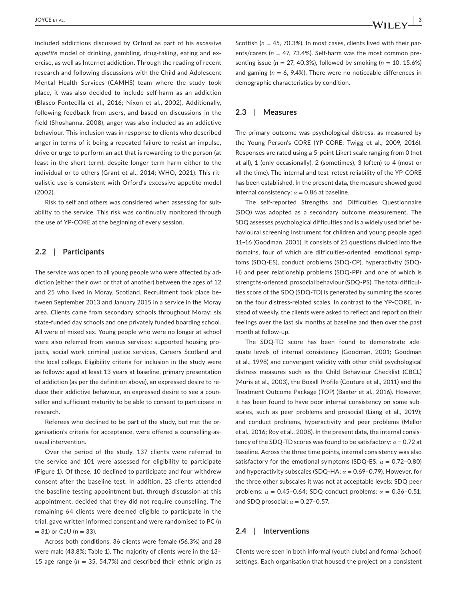included addictions discussed by Orford as part of his *excessive appetite* model of drinking, gambling, drug-taking, eating and exercise, as well as Internet addiction. Through the reading of recent research and following discussions with the Child and Adolescent Mental Health Services (CAMHS) team where the study took place, it was also decided to include self-harm as an addiction (Blasco-Fontecilla et al., 2016; Nixon et al., 2002). Additionally, following feedback from users, and based on discussions in the field (Shoshanna, 2008), anger was also included as an addictive behaviour. This inclusion was in response to clients who described anger in terms of it being a repeated failure to resist an impulse, drive or urge to perform an act that is rewarding to the person (at least in the short term), despite longer term harm either to the individual or to others (Grant et al., 2014; WHO, 2021). This ritualistic use is consistent with Orford's excessive appetite model (2002).

Risk to self and others was considered when assessing for suitability to the service. This risk was continually monitored through the use of YP-CORE at the beginning of every session.

#### **2.2**  | **Participants**

The service was open to all young people who were affected by addiction (either their own or that of another) between the ages of 12 and 25 who lived in Moray, Scotland. Recruitment took place between September 2013 and January 2015 in a service in the Moray area. Clients came from secondary schools throughout Moray: six state-funded day schools and one privately funded boarding school. All were of mixed sex. Young people who were no longer at school were also referred from various services: supported housing projects, social work criminal justice services, Careers Scotland and the local college. Eligibility criteria for inclusion in the study were as follows: aged at least 13 years at baseline, primary presentation of addiction (as per the definition above), an expressed desire to reduce their addictive behaviour, an expressed desire to see a counsellor and sufficient maturity to be able to consent to participate in research.

Referees who declined to be part of the study, but met the organisation's criteria for acceptance, were offered a counselling-asusual intervention.

Over the period of the study, 137 clients were referred to the service and 101 were assessed for eligibility to participate (Figure 1). Of these, 10 declined to participate and four withdrew consent after the baseline test. In addition, 23 clients attended the baseline testing appointment but, through discussion at this appointment, decided that they did not require counselling. The remaining 64 clients were deemed eligible to participate in the trial, gave written informed consent and were randomised to PC (*n* = 31) or CaU (*n* = 33).

Across both conditions, 36 clients were female (56.3%) and 28 were male (43.8%; Table 1). The majority of clients were in the 13– 15 age range ( $n = 35$ , 54.7%) and described their ethnic origin as

Scottish (*n* = 45, 70.3%). In most cases, clients lived with their parents/carers ( $n = 47, 73.4\%$ ). Self-harm was the most common presenting issue (*n* = 27, 40.3%), followed by smoking (*n* = 10, 15.6%) and gaming (*n* = 6, 9.4%). There were no noticeable differences in demographic characteristics by condition.

#### **2.3**  | **Measures**

The primary outcome was psychological distress, as measured by the Young Person's CORE (YP-CORE; Twigg et al., 2009, 2016). Responses are rated using a 5-point Likert scale ranging from 0 (not at all), 1 (only occasionally), 2 (sometimes), 3 (often) to 4 (most or all the time). The internal and test–retest reliability of the YP-CORE has been established. In the present data, the measure showed good internal consistency:  $\alpha$  = 0.86 at baseline.

The self-reported Strengths and Difficulties Questionnaire (SDQ) was adopted as a secondary outcome measurement. The SDQ assesses psychological difficulties and is a widely used brief behavioural screening instrument for children and young people aged 11–16 (Goodman, 2001). It consists of 25 questions divided into five domains, four of which are difficulties-oriented: emotional symptoms (SDQ-ES), conduct problems (SDQ-CP), hyperactivity (SDQ-H) and peer relationship problems (SDQ-PP); and one of which is strengths-oriented: prosocial behaviour (SDQ-PS). The total difficulties score of the SDQ (SDQ-TD) is generated by summing the scores on the four distress-related scales. In contrast to the YP-CORE, instead of weekly, the clients were asked to reflect and report on their feelings over the last six months at baseline and then over the past month at follow-up.

The SDQ-TD score has been found to demonstrate adequate levels of internal consistency (Goodman, 2001; Goodman et al., 1998) and convergent validity with other child psychological distress measures such as the Child Behaviour Checklist (CBCL) (Muris et al., 2003), the Boxall Profile (Couture et al., 2011) and the Treatment Outcome Package (TOP) (Baxter et al., 2016). However, it has been found to have poor internal consistency on some subscales, such as peer problems and prosocial (Liang et al., 2019); and conduct problems, hyperactivity and peer problems (Mellor et al., 2016; Roy et al., 2008). In the present data, the internal consistency of the SDQ-TD scores was found to be satisfactory:  $\alpha = 0.72$  at baseline. Across the three time points, internal consistency was also satisfactory for the emotional symptoms (SDQ-ES;  $\alpha = 0.72$ -0.80) and hyperactivity subscales (SDQ-HA;  $\alpha$  = 0.69-0.79). However, for the three other subscales it was not at acceptable levels: SDQ peer problems: *α* = 0.45–0.64; SDQ conduct problems: *α* = 0.36–0.51; and SDQ prosocial: *α* = 0.27–0.57.

#### **2.4**  | **Interventions**

Clients were seen in both informal (youth clubs) and formal (school) settings. Each organisation that housed the project on a consistent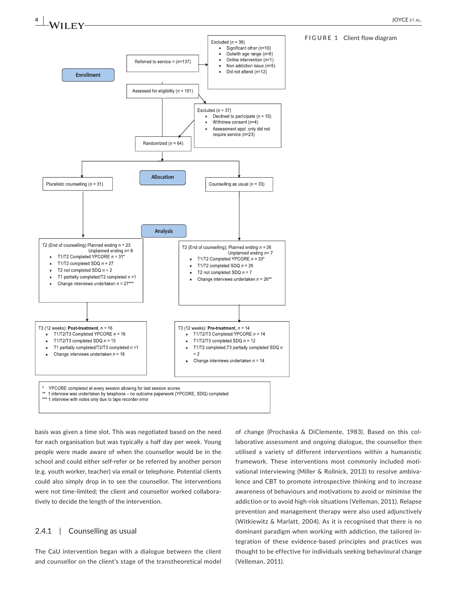

#### **FIGURE 1** Client flow diagram

basis was given a time slot. This was negotiated based on the need for each organisation but was typically a half day per week. Young people were made aware of when the counsellor would be in the school and could either self-refer or be referred by another person (e.g. youth worker, teacher) via email or telephone. Potential clients could also simply drop in to see the counsellor. The interventions were not time-limited; the client and counsellor worked collaboratively to decide the length of the intervention.

#### 2.4.1 | Counselling as usual

The CaU intervention began with a dialogue between the client and counsellor on the client's stage of the transtheoretical model

of change (Prochaska & DiClemente, 1983). Based on this collaborative assessment and ongoing dialogue, the counsellor then utilised a variety of different interventions within a humanistic framework. These interventions most commonly included motivational interviewing (Miller & Rollnick, 2013) to resolve ambivalence and CBT to promote introspective thinking and to increase awareness of behaviours and motivations to avoid or minimise the addiction or to avoid high-risk situations (Velleman, 2011). Relapse prevention and management therapy were also used adjunctively (Witkiewitz & Marlatt, 2004). As it is recognised that there is no dominant paradigm when working with addiction, the tailored integration of these evidence-based principles and practices was thought to be effective for individuals seeking behavioural change (Velleman, 2011).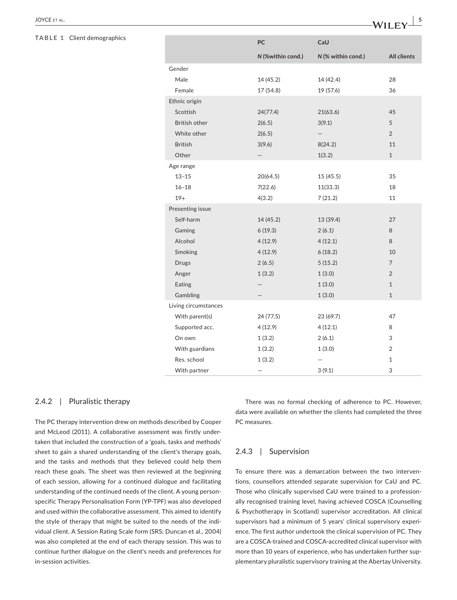#### **TABLE 1** Client demographics

|                      | PC                | CaU                |                    |  |  |
|----------------------|-------------------|--------------------|--------------------|--|--|
|                      | N (%within cond.) | N (% within cond.) | <b>All clients</b> |  |  |
| Gender               |                   |                    |                    |  |  |
| Male                 | 14 (45.2)         | 14 (42.4)          | 28                 |  |  |
| Female               | 17(54.8)          | 19 (57.6)          | 36                 |  |  |
| Ethnic origin        |                   |                    |                    |  |  |
| Scottish             | 24(77.4)          | 21(63.6)           | 45                 |  |  |
| <b>British other</b> | 2(6.5)            | 3(9.1)             | 5                  |  |  |
| White other          | 2(6.5)            |                    | $\overline{2}$     |  |  |
| <b>British</b>       | 3(9.6)            | 8(24.2)            | 11                 |  |  |
| Other                |                   | 1(3.2)             | $\mathbf{1}$       |  |  |
| Age range            |                   |                    |                    |  |  |
| $13 - 15$            | 20(64.5)          | 15(45.5)           | 35                 |  |  |
| $16 - 18$            | 7(22.6)           | 11(33.3)           | 18                 |  |  |
| $19+$                | 4(3.2)            | 7(21.2)            | 11                 |  |  |
| Presenting issue     |                   |                    |                    |  |  |
| Self-harm            | 14 (45.2)         | 13 (39.4)          | 27                 |  |  |
| Gaming               | 6(19.3)           | 2(6.1)             | 8                  |  |  |
| Alcohol              | 4(12.9)           | 4(12.1)            | 8                  |  |  |
| Smoking              | 4(12.9)           | 6(18.2)            | 10                 |  |  |
| <b>Drugs</b>         | 2(6.5)            | 5(15.2)            | $\overline{7}$     |  |  |
| Anger                | 1(3.2)            | 1(3.0)             | $\overline{2}$     |  |  |
| Eating               |                   | 1(3.0)             | $\mathbf{1}$       |  |  |
| Gambling             |                   | 1(3.0)             | $\mathbf{1}$       |  |  |
| Living circumstances |                   |                    |                    |  |  |
| With parent(s)       | 24 (77.5)         | 23 (69.7)          | 47                 |  |  |
| Supported acc.       | 4(12.9)           | 4(12.1)            | 8                  |  |  |
| On own               | 1(3.2)            | 2(6.1)             | 3                  |  |  |
| With guardians       | 1(3.2)            | 1(3.0)             | 2                  |  |  |
| Res. school          | 1(3.2)            |                    | 1                  |  |  |
| With partner         |                   | 3(9.1)             | 3                  |  |  |

#### 2.4.2 | Pluralistic therapy

The PC therapy intervention drew on methods described by Cooper and McLeod (2011). A collaborative assessment was firstly undertaken that included the construction of a 'goals, tasks and methods' sheet to gain a shared understanding of the client's therapy goals, and the tasks and methods that they believed could help them reach these goals. The sheet was then reviewed at the beginning of each session, allowing for a continued dialogue and facilitating understanding of the continued needs of the client. A young personspecific Therapy Personalisation Form (YP-TPF) was also developed and used within the collaborative assessment. This aimed to identify the style of therapy that might be suited to the needs of the individual client. A Session Rating Scale form (SRS; Duncan et al., 2004) was also completed at the end of each therapy session. This was to continue further dialogue on the client's needs and preferences for in-session activities.

There was no formal checking of adherence to PC. However, data were available on whether the clients had completed the three PC measures.

#### 2.4.3 | Supervision

To ensure there was a demarcation between the two interventions, counsellors attended separate supervision for CaU and PC. Those who clinically supervised CaU were trained to a professionally recognised training level, having achieved COSCA (Counselling & Psychotherapy in Scotland) supervisor accreditation. All clinical supervisors had a minimum of 5 years' clinical supervisory experience. The first author undertook the clinical supervision of PC. They are a COSCA-trained and COSCA-accredited clinical supervisor with more than 10 years of experience, who has undertaken further supplementary pluralistic supervisory training at the Abertay University.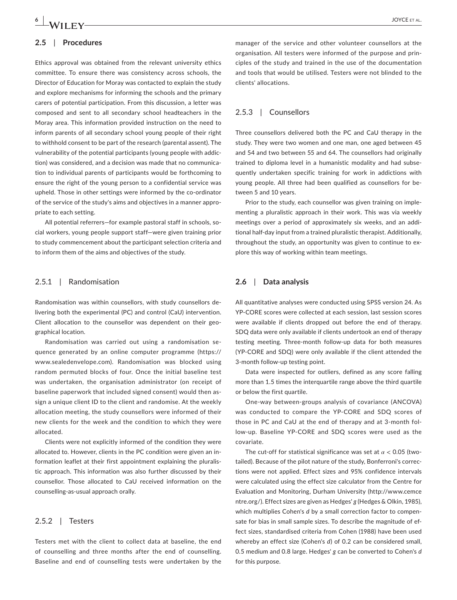# **6 | 14** *I***T ITTITI**

#### **2.5**  | **Procedures**

Ethics approval was obtained from the relevant university ethics committee. To ensure there was consistency across schools, the Director of Education for Moray was contacted to explain the study and explore mechanisms for informing the schools and the primary carers of potential participation. From this discussion, a letter was composed and sent to all secondary school headteachers in the Moray area. This information provided instruction on the need to inform parents of all secondary school young people of their right to withhold consent to be part of the research (parental assent). The vulnerability of the potential participants (young people with addiction) was considered, and a decision was made that no communication to individual parents of participants would be forthcoming to ensure the right of the young person to a confidential service was upheld. Those in other settings were informed by the co-ordinator of the service of the study's aims and objectives in a manner appropriate to each setting.

All potential referrers—for example pastoral staff in schools, social workers, young people support staff—were given training prior to study commencement about the participant selection criteria and to inform them of the aims and objectives of the study.

#### 2.5.1 | Randomisation

Randomisation was within counsellors, with study counsellors delivering both the experimental (PC) and control (CaU) intervention. Client allocation to the counsellor was dependent on their geographical location.

Randomisation was carried out using a randomisation sequence generated by an online computer programme ([https://](https://www.sealedenvelope.com) [www.sealedenvelope.com\)](https://www.sealedenvelope.com). Randomisation was blocked using random permuted blocks of four. Once the initial baseline test was undertaken, the organisation administrator (on receipt of baseline paperwork that included signed consent) would then assign a unique client ID to the client and randomise. At the weekly allocation meeting, the study counsellors were informed of their new clients for the week and the condition to which they were allocated.

Clients were not explicitly informed of the condition they were allocated to. However, clients in the PC condition were given an information leaflet at their first appointment explaining the pluralistic approach. This information was also further discussed by their counsellor. Those allocated to CaU received information on the counselling-as-usual approach orally.

#### 2.5.2 | Testers

Testers met with the client to collect data at baseline, the end of counselling and three months after the end of counselling. Baseline and end of counselling tests were undertaken by the manager of the service and other volunteer counsellors at the organisation. All testers were informed of the purpose and principles of the study and trained in the use of the documentation and tools that would be utilised. Testers were not blinded to the clients' allocations.

#### 2.5.3 | Counsellors

Three counsellors delivered both the PC and CaU therapy in the study. They were two women and one man, one aged between 45 and 54 and two between 55 and 64. The counsellors had originally trained to diploma level in a humanistic modality and had subsequently undertaken specific training for work in addictions with young people. All three had been qualified as counsellors for between 5 and 10 years.

Prior to the study, each counsellor was given training on implementing a pluralistic approach in their work. This was via weekly meetings over a period of approximately six weeks, and an additional half-day input from a trained pluralistic therapist. Additionally, throughout the study, an opportunity was given to continue to explore this way of working within team meetings.

#### **2.6**  | **Data analysis**

All quantitative analyses were conducted using SPSS version 24. As YP-CORE scores were collected at each session, last session scores were available if clients dropped out before the end of therapy. SDQ data were only available if clients undertook an end of therapy testing meeting. Three-month follow-up data for both measures (YP-CORE and SDQ) were only available if the client attended the 3-month follow-up testing point.

Data were inspected for outliers, defined as any score falling more than 1.5 times the interquartile range above the third quartile or below the first quartile.

One-way between-groups analysis of covariance (ANCOVA) was conducted to compare the YP-CORE and SDQ scores of those in PC and CaU at the end of therapy and at 3-month follow-up. Baseline YP-CORE and SDQ scores were used as the covariate.

The cut-off for statistical significance was set at *α* < 0.05 (twotailed). Because of the pilot nature of the study, Bonferroni's corrections were not applied. Effect sizes and 95% confidence intervals were calculated using the effect size calculator from the Centre for Evaluation and Monitoring, Durham University ([http://www.cemce](http://www.cemcentre.org/) [ntre.org/\)](http://www.cemcentre.org/). Effect sizes are given as Hedges' *g* (Hedges & Olkin, 1985), which multiplies Cohen's *d* by a small correction factor to compensate for bias in small sample sizes. To describe the magnitude of effect sizes, standardised criteria from Cohen (1988) have been used whereby an effect size (Cohen's *d*) of 0.2 can be considered small, 0.5 medium and 0.8 large. Hedges' *g* can be converted to Cohen's *d* for this purpose.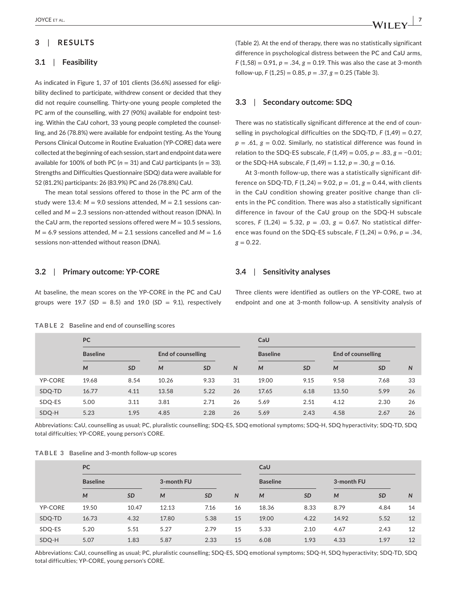### **3**  | **RESULTS**

#### **3.1**  | **Feasibility**

As indicated in Figure 1, 37 of 101 clients (36.6%) assessed for eligibility declined to participate, withdrew consent or decided that they did not require counselling. Thirty-one young people completed the PC arm of the counselling, with 27 (90%) available for endpoint testing. Within the CaU cohort, 33 young people completed the counselling, and 26 (78.8%) were available for endpoint testing. As the Young Persons Clinical Outcome in Routine Evaluation (YP-CORE) data were collected at the beginning of each session, start and endpoint data were available for 100% of both PC ( $n = 31$ ) and CaU participants ( $n = 33$ ). Strengths and Difficulties Questionnaire (SDQ) data were available for 52 (81.2%) participants: 26 (83.9%) PC and 26 (78.8%) CaU.

The mean total sessions offered to those in the PC arm of the study were 13.4:  $M = 9.0$  sessions attended,  $M = 2.1$  sessions cancelled and *M* = 2.3 sessions non-attended without reason (DNA). In the CaU arm, the reported sessions offered were  $M = 10.5$  sessions,  $M = 6.9$  sessions attended,  $M = 2.1$  sessions cancelled and  $M = 1.6$ sessions non-attended without reason (DNA).

(Table 2). At the end of therapy, there was no statistically significant difference in psychological distress between the PC and CaU arms, *F* (1,58) = 0.91, *p* = .34, *g* = 0.19. This was also the case at 3-month follow-up, *F* (1,25) = 0.85, *p* = .37, *g* = 0.25 (Table 3).

#### **3.3**  | **Secondary outcome: SDQ**

There was no statistically significant difference at the end of counselling in psychological difficulties on the SDQ-TD, *F* (1,49) = 0.27,  $p = .61$ ,  $g = 0.02$ . Similarly, no statistical difference was found in relation to the SDQ-ES subscale, *F* (1,49) = 0.05, *p* = .83, *g* = −0.01; or the SDQ-HA subscale, *F* (1,49) = 1.12, *p* = .30, *g* = 0.16.

At 3-month follow-up, there was a statistically significant difference on SDQ-TD,  $F(1,24) = 9.02$ ,  $p = .01$ ,  $g = 0.44$ , with clients in the CaU condition showing greater positive change than clients in the PC condition. There was also a statistically significant difference in favour of the CaU group on the SDQ-H subscale scores, *F* (1,24) = 5.32, *p* = .03, *g* = 0.67. No statistical difference was found on the SDQ-ES subscale,  $F(1,24) = 0.96$ ,  $p = .34$ ,  $g = 0.22$ .

#### **3.2**  | **Primary outcome: YP-CORE**

At baseline, the mean scores on the YP-CORE in the PC and CaU groups were  $19.7$  (*SD* = 8.5) and  $19.0$  (*SD* = 9.1), respectively

**3.4**  | **Sensitivity analyses**

Three clients were identified as outliers on the YP-CORE, two at endpoint and one at 3-month follow-up. A sensitivity analysis of

|                | <b>PC</b>       |           |                    |           | CaU          |                 |           |                    |           |    |  |
|----------------|-----------------|-----------|--------------------|-----------|--------------|-----------------|-----------|--------------------|-----------|----|--|
|                | <b>Baseline</b> |           | End of counselling |           |              | <b>Baseline</b> |           | End of counselling |           |    |  |
|                | M               | <b>SD</b> | M                  | <b>SD</b> | $\mathsf{N}$ | M               | <b>SD</b> | M                  | <b>SD</b> | N  |  |
| <b>YP-CORE</b> | 19.68           | 8.54      | 10.26              | 9.33      | 31           | 19.00           | 9.15      | 9.58               | 7.68      | 33 |  |
| SDQ-TD         | 16.77           | 4.11      | 13.58              | 5.22      | 26           | 17.65           | 6.18      | 13.50              | 5.99      | 26 |  |
| SDQ-ES         | 5.00            | 3.11      | 3.81               | 2.71      | 26           | 5.69            | 2.51      | 4.12               | 2.30      | 26 |  |
| SDQ-H          | 5.23            | 1.95      | 4.85               | 2.28      | 26           | 5.69            | 2.43      | 4.58               | 2.67      | 26 |  |

**TABLE 2** Baseline and end of counselling scores

Abbreviations: CaU, counselling as usual; PC, pluralistic counselling; SDQ-ES, SDQ emotional symptoms; SDQ-H, SDQ hyperactivity; SDQ-TD, SDQ total difficulties; YP-CORE, young person's CORE.

|  | TABLE 3 Baseline and 3-month follow-up scores |
|--|-----------------------------------------------|
|--|-----------------------------------------------|

|                | <b>PC</b>       |           |            |           | CaU |                 |           |            |           |    |  |
|----------------|-----------------|-----------|------------|-----------|-----|-----------------|-----------|------------|-----------|----|--|
|                | <b>Baseline</b> |           | 3-month FU |           |     | <b>Baseline</b> |           | 3-month FU |           |    |  |
|                | M               | <b>SD</b> | M          | <b>SD</b> | N   | M               | <b>SD</b> | M          | <b>SD</b> | N  |  |
| <b>YP-CORE</b> | 19.50           | 10.47     | 12.13      | 7.16      | 16  | 18.36           | 8.33      | 8.79       | 4.84      | 14 |  |
| SDQ-TD         | 16.73           | 4.32      | 17.80      | 5.38      | 15  | 19.00           | 4.22      | 14.92      | 5.52      | 12 |  |
| SDQ-ES         | 5.20            | 5.51      | 5.27       | 2.79      | 15  | 5.33            | 2.10      | 4.67       | 2.43      | 12 |  |
| SDQ-H          | 5.07            | 1.83      | 5.87       | 2.33      | 15  | 6.08            | 1.93      | 4.33       | 1.97      | 12 |  |

Abbreviations: CaU, counselling as usual; PC, pluralistic counselling; SDQ-ES, SDQ emotional symptoms; SDQ-H, SDQ hyperactivity; SDQ-TD, SDQ total difficulties; YP-CORE, young person's CORE.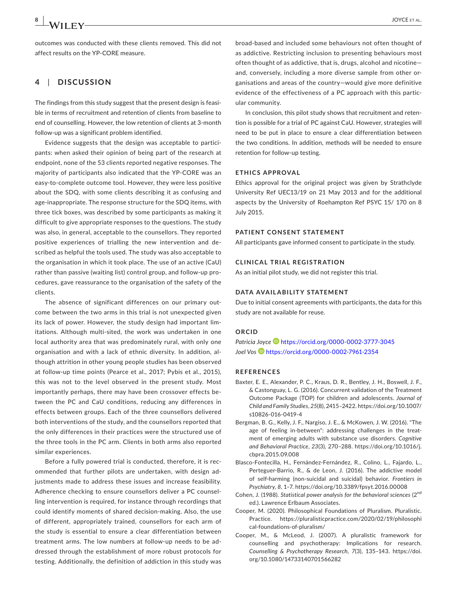outcomes was conducted with these clients removed. This did not affect results on the YP-CORE measure.

#### **4**  | **DISCUSSION**

The findings from this study suggest that the present design is feasible in terms of recruitment and retention of clients from baseline to end of counselling. However, the low retention of clients at 3-month follow-up was a significant problem identified.

Evidence suggests that the design was acceptable to participants: when asked their opinion of being part of the research at endpoint, none of the 53 clients reported negative responses. The majority of participants also indicated that the YP-CORE was an easy-to-complete outcome tool. However, they were less positive about the SDQ, with some clients describing it as confusing and age-inappropriate. The response structure for the SDQ items, with three tick boxes, was described by some participants as making it difficult to give appropriate responses to the questions. The study was also, in general, acceptable to the counsellors. They reported positive experiences of trialling the new intervention and described as helpful the tools used. The study was also acceptable to the organisation in which it took place. The use of an active (CaU) rather than passive (waiting list) control group, and follow-up procedures, gave reassurance to the organisation of the safety of the clients.

The absence of significant differences on our primary outcome between the two arms in this trial is not unexpected given its lack of power. However, the study design had important limitations. Although multi-sited, the work was undertaken in one local authority area that was predominately rural, with only one organisation and with a lack of ethnic diversity. In addition, although attrition in other young people studies has been observed at follow-up time points (Pearce et al., 2017; Pybis et al., 2015), this was not to the level observed in the present study. Most importantly perhaps, there may have been crossover effects between the PC and CaU conditions, reducing any differences in effects between groups. Each of the three counsellors delivered both interventions of the study, and the counsellors reported that the only differences in their practices were the structured use of the three tools in the PC arm. Clients in both arms also reported similar experiences.

Before a fully powered trial is conducted, therefore, it is recommended that further pilots are undertaken, with design adjustments made to address these issues and increase feasibility. Adherence checking to ensure counsellors deliver a PC counselling intervention is required, for instance through recordings that could identify moments of shared decision-making. Also, the use of different, appropriately trained, counsellors for each arm of the study is essential to ensure a clear differentiation between treatment arms. The low numbers at follow-up needs to be addressed through the establishment of more robust protocols for testing. Additionally, the definition of addiction in this study was

broad-based and included some behaviours not often thought of as addictive. Restricting inclusion to presenting behaviours most often thought of as addictive, that is, drugs, alcohol and nicotine and, conversely, including a more diverse sample from other organisations and areas of the country—would give more definitive evidence of the effectiveness of a PC approach with this particular community.

In conclusion, this pilot study shows that recruitment and retention is possible for a trial of PC against CaU. However, strategies will need to be put in place to ensure a clear differentiation between the two conditions. In addition, methods will be needed to ensure retention for follow-up testing.

#### **ETHICS APPROVAL**

Ethics approval for the original project was given by Strathclyde University Ref UEC13/19 on 21 May 2013 and for the additional aspects by the University of Roehampton Ref PSYC 15/ 170 on 8 July 2015.

#### **PATIENT CONSENT STATEMENT**

All participants gave informed consent to participate in the study.

#### **CLINICAL TRIAL REGISTRATION**

As an initial pilot study, we did not register this trial.

#### **DATA AVAILABILITY STATEMENT**

Due to initial consent agreements with participants, the data for this study are not available for reuse.

#### **ORCID**

*Patricia Joyce* <https://orcid.org/0000-0002-3777-3045> *Joel Vo[s](https://orcid.org/0000-0002-7961-2354)* <https://orcid.org/0000-0002-7961-2354>

#### **REFERENCES**

- Baxter, E. E., Alexander, P. C., Kraus, D. R., Bentley, J. H., Boswell, J. F., & Castonguay, L. G. (2016). Concurrent validation of the Treatment Outcome Package (TOP) for children and adolescents. *Journal of Child and Family Studies*, *25*(8), 2415–2422. [https://doi.org/10.1007/](https://doi.org/10.1007/s10826-016-0419-4) [s10826-016-0419-4](https://doi.org/10.1007/s10826-016-0419-4)
- Bergman, B. G., Kelly, J. F., Nargiso, J. E., & McKowen, J. W. (2016). "The age of feeling in-between": addressing challenges in the treatment of emerging adults with substance use disorders. *Cognitive and Behavioral Practice*, *23*(3), 270–288. [https://doi.org/10.1016/j.](https://doi.org/10.1016/j.cbpra.2015.09.008) [cbpra.2015.09.008](https://doi.org/10.1016/j.cbpra.2015.09.008)
- Blasco-Fontecilla, H., Fernández-Fernández, R., Colino, L., Fajardo, L., Perteguer-Barrio, R., & de Leon, J. (2016). The addictive model of self-harming (non-suicidal and suicidal) behavior. *Frontiers in Psychiatry*, *8*, 1–7. <https://doi.org/10.3389/fpsyt.2016.00008>
- Cohen, J. (1988). *Statistical power analysis for the behavioral sciences* (2nd ed.). Lawrence Erlbaum Associates.
- Cooper, M. (2020). Philosophical Foundations of Pluralism. Pluralistic. Practice. [https://pluralisticpractice.com/2020/02/19/philosophi](https://pluralisticpractice.com/2020/02/19/philosophical-foundations-of-pluralism/) [cal-foundations-of-pluralism/](https://pluralisticpractice.com/2020/02/19/philosophical-foundations-of-pluralism/)
- Cooper, M., & McLeod, J. (2007). A pluralistic framework for counselling and psychotherapy: Implications for research. *Counselling & Psychotherapy Research*, *7*(3), 135–143. [https://doi.](https://doi.org/10.1080/14733140701566282) [org/10.1080/14733140701566282](https://doi.org/10.1080/14733140701566282)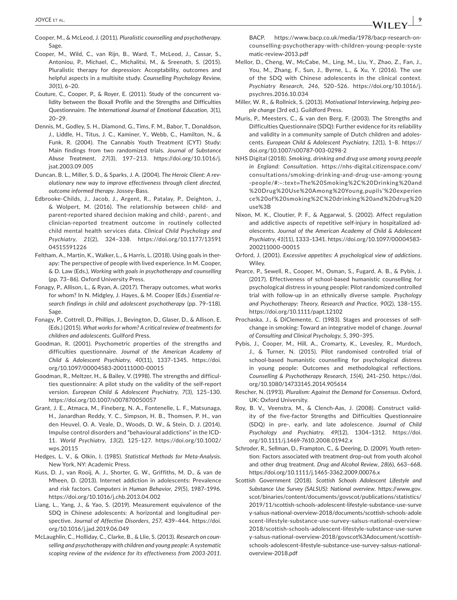- Cooper, M., & McLeod, J. (2011). *Pluralistic counselling and psychotherapy*. Sage.
- Cooper, M., Wild, C., van Rijn, B., Ward, T., McLeod, J., Cassar, S., Antoniou, P., Michael, C., Michalitsi, M., & Sreenath, S. (2015). Pluralistic therapy for depression: Acceptability, outcomes and helpful aspects in a multisite study. *Counselling Psychology Review*, *30*(1), 6–20.
- Couture, C., Cooper, P., & Royer, E. (2011). Study of the concurrent validity between the Boxall Profile and the Strengths and Difficulties Questionnaire. *The International Journal of Emotional Education*, *3*(1), 20–29.
- Dennis, M., Godley, S. H., Diamond, G., Tims, F. M., Babor, T., Donaldson, J., Liddle, H., Titus, J. C., Kaminer, Y., Webb, C., Hamilton, N., & Funk, R. (2004). The Cannabis Youth Treatment (CYT) Study: Main findings from two randomized trials. *Journal of Substance Abuse Treatment*, *27*(3), 197–213. [https://doi.org/10.1016/j.](https://doi.org/10.1016/j.jsat.2003.09.005) [jsat.2003.09.005](https://doi.org/10.1016/j.jsat.2003.09.005)
- Duncan, B. L., Miller, S. D., & Sparks, J. A. (2004). *The Heroic Client: A revolutionary new way to improve effectiveness through client directed, outcome informed therapy*. Jossey-Bass.
- Edbrooke-Childs, J., Jacob, J., Argent, R., Patalay, P., Deighton, J., & Wolpert, M. (2016). The relationship between child- and parent-reported shared decision making and child-, parent-, and clinician-reported treatment outcome in routinely collected child mental health services data. *Clinical Child Psychology and Psychiatry*, *21*(2), 324–338. [https://doi.org/10.1177/13591](https://doi.org/10.1177/1359104515591226) [04515591226](https://doi.org/10.1177/1359104515591226)
- Feltham, A., Martin, K., Walker, L., & Harris, L. (2018). Using goals in therapy: The perspective of people with lived experience. In M. Cooper, & D. Law (Eds.), *Working with goals in psychotherapy and counselling* (pp. 73–86). Oxford University Press.
- Fonagy, P., Allison, L., & Ryan, A. (2017). Therapy outcomes, what works for whom? In N. Midgley, J. Hayes, & M. Cooper (Eds.) *Essential research findings in child and adolescent psychotherapy* (pp. 79–118). Sage.
- Fonagy, P., Cottrell, D., Phillips, J., Bevington, D., Glaser, D., & Allison, E. (Eds.) (2015). *What works for whom? A critical review of treatments for children and adolescents*. Guilford Press.
- Goodman, R. (2001). Psychometric properties of the strengths and difficulties questionnaire. *Journal of the American Academy of Child & Adolescent Psychiatry*, *40*(11), 1337–1345. [https://doi.](https://doi.org/10.1097/00004583-200111000-00015) [org/10.1097/00004583-200111000-00015](https://doi.org/10.1097/00004583-200111000-00015)
- Goodman, R., Meltzer, H., & Bailey, V. (1998). The strengths and difficulties questionnaire: A pilot study on the validity of the self-report version. *European Child & Adolescent Psychiatry*, *7*(3), 125–130. <https://doi.org/10.1007/s007870050057>
- Grant, J. E., Atmaca, M., Fineberg, N. A., Fontenelle, L. F., Matsunaga, H., Janardhan Reddy, Y. C., Simpson, H. B., Thomsen, P. H., van den Heuvel, O. A. Veale, D., Woods, D. W., & Stein, D. J. (2014). Impulse control disorders and "behavioural addictions" in the ICD-11. *World Psychiatry*, *13*(2), 125–127. [https://doi.org/10.1002/](https://doi.org/10.1002/wps.20115) [wps.20115](https://doi.org/10.1002/wps.20115)
- Hedges, L. V., & Olkin, I. (1985). *Statistical Methods for Meta-Analysis*. New York, NY: Academic Press.
- Kuss, D. J., van Rooij, A. J., Shorter, G. W., Griffiths, M. D., & van de Mheen, D. (2013). Internet addiction in adolescents: Prevalence and risk factors. *Computers in Human Behavior*, *29*(5), 1987–1996. <https://doi.org/10.1016/j.chb.2013.04.002>
- Liang, L., Yang, J., & Yao, S. (2019). Measurement equivalence of the SDQ in Chinese adolescents: A horizontal and longitudinal perspective. *Journal of Affective Disorders*, *257*, 439–444. [https://doi.](https://doi.org/10.1016/j.jad.2019.06.049) [org/10.1016/j.jad.2019.06.049](https://doi.org/10.1016/j.jad.2019.06.049)
- McLaughlin, C., Holliday, C., Clarke, B., & Llie, S. (2013). *Research on counselling and psychotherapy with children and young people: A systematic scoping review of the evidence for its effectiveness from 2003-2011*.

BACP. [https://www.bacp.co.uk/media/1978/bacp-research-on](https://www.bacp.co.uk/media/1978/bacp-research-on-counselling-psychotherapy-with-children-young-people-systematic-review-2013.pdf)[counselling-psychotherapy-with-children-young-people-syste](https://www.bacp.co.uk/media/1978/bacp-research-on-counselling-psychotherapy-with-children-young-people-systematic-review-2013.pdf) [matic-review-2013.pdf](https://www.bacp.co.uk/media/1978/bacp-research-on-counselling-psychotherapy-with-children-young-people-systematic-review-2013.pdf)

- Mellor, D., Cheng, W., McCabe, M., Ling, M., Liu, Y., Zhao, Z., Fan, J., You, M., Zhang, F., Sun, J., Byrne, L., & Xu, Y. (2016). The use of the SDQ with Chinese adolescents in the clinical context. *Psychiatry Research*, *246*, 520–526. [https://doi.org/10.1016/j.](https://doi.org/10.1016/j.psychres.2016.10.034) [psychres.2016.10.034](https://doi.org/10.1016/j.psychres.2016.10.034)
- Miller, W. R., & Rollnick, S. (2013). *Motivational Interviewing, helping people change* (3rd ed.). Guildford Press.
- Muris, P., Meesters, C., & van den Berg, F. (2003). The Strengths and Difficulties Questionnaire (SDQ): Further evidence for its reliability and validity in a community sample of Dutch children and adolescents. *European Child & Adolescent Psychiatry*, *12*(1), 1–8. [https://](https://doi.org/10.1007/s00787-003-0298-2) [doi.org/10.1007/s00787-003-0298-2](https://doi.org/10.1007/s00787-003-0298-2)
- NHS Digital (2018). *Smoking, drinking and drug use among young people in England: Consultation*. [https://nhs-digital.citizenspace.com/](https://nhs-digital.citizenspace.com/consultations/smoking-drinking-and-drug-use-among-young-people/#:%7E:text=The Smoking%2C Drinking and Drug Use Among Young,pupils 19 experience of smoking%2C drinking and drug use%3B) [consultations/smoking-drinking-and-drug-use-among-young](https://nhs-digital.citizenspace.com/consultations/smoking-drinking-and-drug-use-among-young-people/#:%7E:text=The Smoking%2C Drinking and Drug Use Among Young,pupils 19 experience of smoking%2C drinking and drug use%3B) -people/#:~:text=[The%20Smoking%2C%20Drinking%20and](https://nhs-digital.citizenspace.com/consultations/smoking-drinking-and-drug-use-among-young-people/#:%7E:text=The Smoking%2C Drinking and Drug Use Among Young,pupils 19 experience of smoking%2C drinking and drug use%3B) [%20Drug%20Use%20Among%20Young,pupils'%20experien](https://nhs-digital.citizenspace.com/consultations/smoking-drinking-and-drug-use-among-young-people/#:%7E:text=The Smoking%2C Drinking and Drug Use Among Young,pupils 19 experience of smoking%2C drinking and drug use%3B) [ce%20of%20smoking%2C%20drinking%20and%20drug%20](https://nhs-digital.citizenspace.com/consultations/smoking-drinking-and-drug-use-among-young-people/#:%7E:text=The Smoking%2C Drinking and Drug Use Among Young,pupils 19 experience of smoking%2C drinking and drug use%3B) [use%3B](https://nhs-digital.citizenspace.com/consultations/smoking-drinking-and-drug-use-among-young-people/#:%7E:text=The Smoking%2C Drinking and Drug Use Among Young,pupils 19 experience of smoking%2C drinking and drug use%3B)
- Nixon, M. K., Cloutier, P. F., & Aggarwal, S. (2002). Affect regulation and addictive aspects of repetitive self-injury in hospitalized adolescents. *Journal of the American Academy of Child & Adolescent Psychiatry*, *41*(11), 1333–1341. [https://doi.org/10.1097/00004583-](https://doi.org/10.1097/00004583-200211000-00015) [200211000-00015](https://doi.org/10.1097/00004583-200211000-00015)
- Orford, J. (2001). *Excessive appetites: A psychological view of addictions*. Wiley.
- Pearce, P., Sewell, R., Cooper, M., Osman, S., Fugard, A. B., & Pybis, J. (2017). Effectiveness of school-based humanistic counselling for psychological distress in young people: Pilot randomized controlled trial with follow-up in an ethnically diverse sample. *Psychology and Psychotherapy: Theory, Research and Practice*, *90*(2), 138–155. <https://doi.org/10.1111/papt.12102>
- Prochaska, J., & DiClemente, C. (1983). Stages and processes of selfchange in smoking: Toward an integrative model of change. *Journal of Consulting and Clinical Psychology*, *5*, 390–395.
- Pybis, J., Cooper, M., Hill, A., Cromarty, K., Levesley, R., Murdoch, J., & Turner, N. (2015). Pilot randomised controlled trial of school-based humanistic counselling for psychological distress in young people: Outcomes and methodological reflections. *Counselling & Psychotherapy Research*, *15*(4), 241–250. [https://doi.](https://doi.org/10.1080/14733145.2014.905614) [org/10.1080/14733145.2014.905614](https://doi.org/10.1080/14733145.2014.905614)
- Rescher, N. (1993). *Pluralism: Against the Demand for Consensus*. Oxford, UK: Oxford University.
- Roy, B. V., Veenstra, M., & Clench-Aas, J. (2008). Construct validity of the five-factor Strengths and Difficulties Questionnaire (SDQ) in pre-, early, and late adolescence. *Journal of Child Psychology and Psychiatry*, *49*(12), 1304–1312. [https://doi.](https://doi.org/10.1111/j.1469-7610.2008.01942.x) [org/10.1111/j.1469-7610.2008.01942.x](https://doi.org/10.1111/j.1469-7610.2008.01942.x)
- Schroder, R., Sellman, D., Frampton, C., & Deering, D. (2009). Youth retention: Factors associated with treatment drop-out from youth alcohol and other drug treatment. *Drug and Alcohol Review*, *28*(6), 663–668. <https://doi.org/10.1111/j.1465-3362.2009.00076.x>
- Scottish Government (2018). *Scottish Schools Adolescent Lifestyle and Substance Use Survey (SALSUS): National overview*. [https://www.gov.](https://www.gov.scot/binaries/content/documents/govscot/publications/statistics/2019/11/scottish-schools-adolescent-lifestyle-substance-use-survey-salsus-national-overview-2018/documents/scottish-schools-adolescent-lifestyle-substance-use-survey-salsus-national-overview-2018/scottish-schools-adolescent-lifestyle-substance-use-survey-salsus-national-overview-2018/govscot%3Adocument/scottish-schools-adolescent-lifestyle-substance-use-survey-salsus-national-overview-2018.pdf) [scot/binaries/content/documents/govscot/publications/statistics/](https://www.gov.scot/binaries/content/documents/govscot/publications/statistics/2019/11/scottish-schools-adolescent-lifestyle-substance-use-survey-salsus-national-overview-2018/documents/scottish-schools-adolescent-lifestyle-substance-use-survey-salsus-national-overview-2018/scottish-schools-adolescent-lifestyle-substance-use-survey-salsus-national-overview-2018/govscot%3Adocument/scottish-schools-adolescent-lifestyle-substance-use-survey-salsus-national-overview-2018.pdf) [2019/11/scottish-schools-adolescent-lifestyle-substance-use-surve](https://www.gov.scot/binaries/content/documents/govscot/publications/statistics/2019/11/scottish-schools-adolescent-lifestyle-substance-use-survey-salsus-national-overview-2018/documents/scottish-schools-adolescent-lifestyle-substance-use-survey-salsus-national-overview-2018/scottish-schools-adolescent-lifestyle-substance-use-survey-salsus-national-overview-2018/govscot%3Adocument/scottish-schools-adolescent-lifestyle-substance-use-survey-salsus-national-overview-2018.pdf) [y-salsus-national-overview-2018/documents/scottish-schools-adole](https://www.gov.scot/binaries/content/documents/govscot/publications/statistics/2019/11/scottish-schools-adolescent-lifestyle-substance-use-survey-salsus-national-overview-2018/documents/scottish-schools-adolescent-lifestyle-substance-use-survey-salsus-national-overview-2018/scottish-schools-adolescent-lifestyle-substance-use-survey-salsus-national-overview-2018/govscot%3Adocument/scottish-schools-adolescent-lifestyle-substance-use-survey-salsus-national-overview-2018.pdf) [scent-lifestyle-substance-use-survey-salsus-national-overview-](https://www.gov.scot/binaries/content/documents/govscot/publications/statistics/2019/11/scottish-schools-adolescent-lifestyle-substance-use-survey-salsus-national-overview-2018/documents/scottish-schools-adolescent-lifestyle-substance-use-survey-salsus-national-overview-2018/scottish-schools-adolescent-lifestyle-substance-use-survey-salsus-national-overview-2018/govscot%3Adocument/scottish-schools-adolescent-lifestyle-substance-use-survey-salsus-national-overview-2018.pdf)[2018/scottish-schools-adolescent-lifestyle-substance-use-surve](https://www.gov.scot/binaries/content/documents/govscot/publications/statistics/2019/11/scottish-schools-adolescent-lifestyle-substance-use-survey-salsus-national-overview-2018/documents/scottish-schools-adolescent-lifestyle-substance-use-survey-salsus-national-overview-2018/scottish-schools-adolescent-lifestyle-substance-use-survey-salsus-national-overview-2018/govscot%3Adocument/scottish-schools-adolescent-lifestyle-substance-use-survey-salsus-national-overview-2018.pdf) [y-salsus-national-overview-2018/govscot%3Adocument/scottish](https://www.gov.scot/binaries/content/documents/govscot/publications/statistics/2019/11/scottish-schools-adolescent-lifestyle-substance-use-survey-salsus-national-overview-2018/documents/scottish-schools-adolescent-lifestyle-substance-use-survey-salsus-national-overview-2018/scottish-schools-adolescent-lifestyle-substance-use-survey-salsus-national-overview-2018/govscot%3Adocument/scottish-schools-adolescent-lifestyle-substance-use-survey-salsus-national-overview-2018.pdf)[schools-adolescent-lifestyle-substance-use-survey-salsus-national](https://www.gov.scot/binaries/content/documents/govscot/publications/statistics/2019/11/scottish-schools-adolescent-lifestyle-substance-use-survey-salsus-national-overview-2018/documents/scottish-schools-adolescent-lifestyle-substance-use-survey-salsus-national-overview-2018/scottish-schools-adolescent-lifestyle-substance-use-survey-salsus-national-overview-2018/govscot%3Adocument/scottish-schools-adolescent-lifestyle-substance-use-survey-salsus-national-overview-2018.pdf)[overview-2018.pdf](https://www.gov.scot/binaries/content/documents/govscot/publications/statistics/2019/11/scottish-schools-adolescent-lifestyle-substance-use-survey-salsus-national-overview-2018/documents/scottish-schools-adolescent-lifestyle-substance-use-survey-salsus-national-overview-2018/scottish-schools-adolescent-lifestyle-substance-use-survey-salsus-national-overview-2018/govscot%3Adocument/scottish-schools-adolescent-lifestyle-substance-use-survey-salsus-national-overview-2018.pdf)